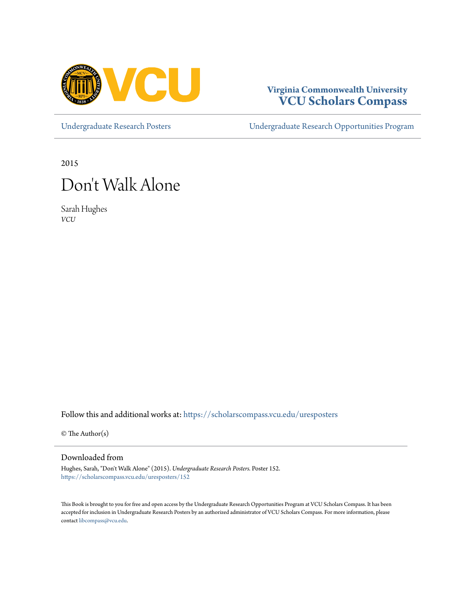

#### **Virginia Commonwealth University [VCU Scholars Compass](https://scholarscompass.vcu.edu?utm_source=scholarscompass.vcu.edu%2Furesposters%2F152&utm_medium=PDF&utm_campaign=PDFCoverPages)**

[Undergraduate Research Posters](https://scholarscompass.vcu.edu/uresposters?utm_source=scholarscompass.vcu.edu%2Furesposters%2F152&utm_medium=PDF&utm_campaign=PDFCoverPages) [Undergraduate Research Opportunities Program](https://scholarscompass.vcu.edu/urop?utm_source=scholarscompass.vcu.edu%2Furesposters%2F152&utm_medium=PDF&utm_campaign=PDFCoverPages)

2015

#### Don 't Walk Alone

Sarah Hughes *VCU*

Follow this and additional works at: [https://scholarscompass.vcu.edu/uresposters](https://scholarscompass.vcu.edu/uresposters?utm_source=scholarscompass.vcu.edu%2Furesposters%2F152&utm_medium=PDF&utm_campaign=PDFCoverPages)

 $\circ$  The Author(s)

Downloaded from

Hughes, Sarah, "Don't Walk Alone" (2015). *Undergraduate Research Posters.* Poster 152. [https://scholarscompass.vcu.edu/uresposters/152](https://scholarscompass.vcu.edu/uresposters/152?utm_source=scholarscompass.vcu.edu%2Furesposters%2F152&utm_medium=PDF&utm_campaign=PDFCoverPages)

This Book is brought to you for free and open access by the Undergraduate Research Opportunities Program at VCU Scholars Compass. It has been accepted for inclusion in Undergraduate Research Posters by an authorized administrator of VCU Scholars Compass. For more information, please contact [libcompass@vcu.edu](mailto:libcompass@vcu.edu).